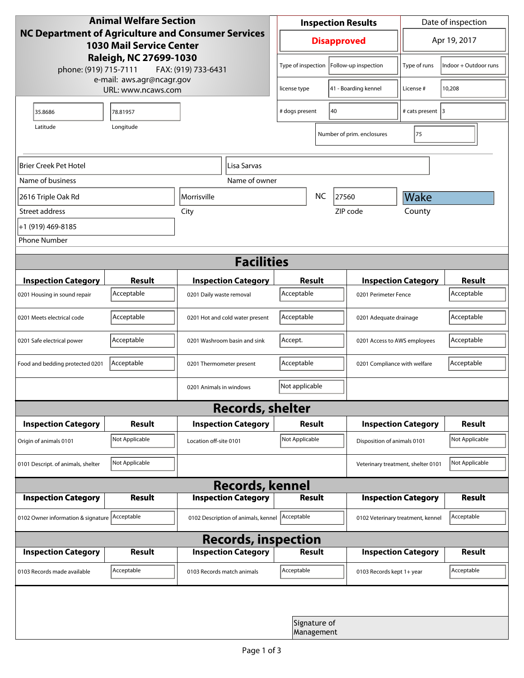| <b>Animal Welfare Section</b><br><b>NC Department of Agriculture and Consumer Services</b><br><b>1030 Mail Service Center</b> |                |                                                        |                                          | <b>Inspection Results</b> |                            |                                    | Date of inspection                |                       |  |
|-------------------------------------------------------------------------------------------------------------------------------|----------------|--------------------------------------------------------|------------------------------------------|---------------------------|----------------------------|------------------------------------|-----------------------------------|-----------------------|--|
|                                                                                                                               |                |                                                        |                                          | <b>Disapproved</b>        |                            |                                    | Apr 19, 2017                      |                       |  |
| Raleigh, NC 27699-1030<br>phone: (919) 715-7111<br>FAX: (919) 733-6431                                                        |                |                                                        |                                          | Type of inspection        |                            | Follow-up inspection               | Type of runs                      | Indoor + Outdoor runs |  |
| e-mail: aws.agr@ncagr.gov<br>URL: www.ncaws.com                                                                               |                |                                                        |                                          | license type              |                            | 41 - Boarding kennel               | License #                         | 10,208                |  |
| 35.8686                                                                                                                       | 78.81957       |                                                        | 40<br># dogs present                     |                           |                            | # cats present 3                   |                                   |                       |  |
| Latitude                                                                                                                      | Longitude      |                                                        |                                          |                           |                            | Number of prim. enclosures         | 75                                |                       |  |
| Brier Creek Pet Hotel                                                                                                         |                |                                                        | Lisa Sarvas                              |                           |                            |                                    |                                   |                       |  |
| Name of business                                                                                                              |                |                                                        | Name of owner                            |                           |                            |                                    |                                   |                       |  |
| 2616 Triple Oak Rd                                                                                                            |                | Morrisville                                            |                                          |                           | <b>NC</b>                  | 27560                              | Wake                              |                       |  |
| Street address                                                                                                                |                | City                                                   |                                          |                           |                            | ZIP code                           | County                            |                       |  |
| +1 (919) 469-8185                                                                                                             |                |                                                        |                                          |                           |                            |                                    |                                   |                       |  |
| <b>Phone Number</b>                                                                                                           |                |                                                        |                                          |                           |                            |                                    |                                   |                       |  |
| <b>Facilities</b>                                                                                                             |                |                                                        |                                          |                           |                            |                                    |                                   |                       |  |
| <b>Inspection Category</b>                                                                                                    | <b>Result</b>  |                                                        |                                          |                           | <b>Result</b>              |                                    | <b>Inspection Category</b>        |                       |  |
| 0201 Housing in sound repair                                                                                                  | Acceptable     | <b>Inspection Category</b><br>0201 Daily waste removal |                                          | Acceptable                |                            |                                    | 0201 Perimeter Fence              |                       |  |
| 0201 Meets electrical code                                                                                                    | Acceptable     | 0201 Hot and cold water present                        |                                          | Acceptable                |                            |                                    | 0201 Adequate drainage            |                       |  |
| 0201 Safe electrical power                                                                                                    | Acceptable     | 0201 Washroom basin and sink                           |                                          | Accept.                   |                            |                                    | 0201 Access to AWS employees      |                       |  |
| Food and bedding protected 0201                                                                                               | Acceptable     | 0201 Thermometer present                               |                                          | Acceptable                |                            |                                    | 0201 Compliance with welfare      |                       |  |
|                                                                                                                               |                | 0201 Animals in windows                                |                                          | Not applicable            |                            |                                    |                                   |                       |  |
| <b>Records, shelter</b>                                                                                                       |                |                                                        |                                          |                           |                            |                                    |                                   |                       |  |
| <b>Inspection Category</b>                                                                                                    | <b>Result</b>  |                                                        | <b>Inspection Category</b>               | Result                    |                            |                                    | <b>Inspection Category</b>        | <b>Result</b>         |  |
| Origin of animals 0101                                                                                                        | Not Applicable |                                                        | Not Applicable<br>Location off-site 0101 |                           |                            | Disposition of animals 0101        |                                   |                       |  |
| 0101 Descript. of animals, shelter                                                                                            | Not Applicable |                                                        |                                          |                           |                            | Veterinary treatment, shelter 0101 |                                   | Not Applicable        |  |
| <b>Records, kennel</b>                                                                                                        |                |                                                        |                                          |                           |                            |                                    |                                   |                       |  |
| <b>Inspection Category</b>                                                                                                    | Result         |                                                        | <b>Inspection Category</b>               |                           | <b>Result</b>              |                                    | <b>Inspection Category</b>        | Result                |  |
| 0102 Owner information & signature Acceptable                                                                                 |                | 0102 Description of animals, kennel                    |                                          | Acceptable                |                            |                                    | 0102 Veterinary treatment, kennel |                       |  |
| <b>Records, inspection</b>                                                                                                    |                |                                                        |                                          |                           |                            |                                    |                                   |                       |  |
| <b>Inspection Category</b>                                                                                                    | <b>Result</b>  |                                                        | <b>Inspection Category</b>               |                           | <b>Result</b>              |                                    | <b>Inspection Category</b>        | <b>Result</b>         |  |
| 0103 Records made available                                                                                                   | Acceptable     | 0103 Records match animals                             |                                          | Acceptable                |                            | 0103 Records kept 1+ year          |                                   | Acceptable            |  |
|                                                                                                                               |                |                                                        |                                          |                           |                            |                                    |                                   |                       |  |
|                                                                                                                               |                |                                                        |                                          |                           | Signature of<br>Management |                                    |                                   |                       |  |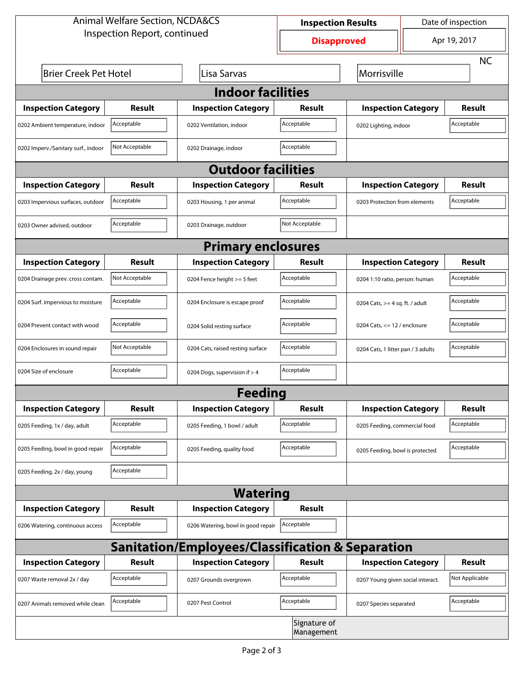| <b>Animal Welfare Section, NCDA&amp;CS</b>                  |                |                                    | <b>Inspection Results</b>  |                                     | Date of inspection                 |                |  |  |  |
|-------------------------------------------------------------|----------------|------------------------------------|----------------------------|-------------------------------------|------------------------------------|----------------|--|--|--|
| Inspection Report, continued                                |                |                                    | <b>Disapproved</b>         |                                     | Apr 19, 2017                       |                |  |  |  |
|                                                             |                |                                    |                            |                                     |                                    | <b>NC</b>      |  |  |  |
| <b>Brier Creek Pet Hotel</b>                                | Morrisville    |                                    |                            |                                     |                                    |                |  |  |  |
| <b>Indoor facilities</b>                                    |                |                                    |                            |                                     |                                    |                |  |  |  |
| <b>Inspection Category</b>                                  | Result         | <b>Inspection Category</b>         | Result                     | <b>Inspection Category</b>          |                                    | <b>Result</b>  |  |  |  |
| 0202 Ambient temperature, indoor                            | Acceptable     | 0202 Ventilation, indoor           | Acceptable                 | Acceptable<br>0202 Lighting, indoor |                                    |                |  |  |  |
| 0202 Imperv./Sanitary surf., indoor                         | Not Acceptable | 0202 Drainage, indoor              | Acceptable                 |                                     |                                    |                |  |  |  |
| <b>Outdoor facilities</b>                                   |                |                                    |                            |                                     |                                    |                |  |  |  |
| <b>Inspection Category</b>                                  | Result         | <b>Inspection Category</b>         | Result                     | <b>Inspection Category</b>          |                                    | <b>Result</b>  |  |  |  |
| 0203 Impervious surfaces, outdoor                           | Acceptable     | 0203 Housing, 1 per animal         | Acceptable                 | 0203 Protection from elements       |                                    | Acceptable     |  |  |  |
| 0203 Owner advised, outdoor                                 | Acceptable     | 0203 Drainage, outdoor             | Not Acceptable             |                                     |                                    |                |  |  |  |
|                                                             |                | <b>Primary enclosures</b>          |                            |                                     |                                    |                |  |  |  |
| <b>Inspection Category</b>                                  | Result         | <b>Inspection Category</b>         | Result                     | <b>Inspection Category</b>          |                                    | Result         |  |  |  |
| 0204 Drainage prev. cross contam.                           | Not Acceptable | 0204 Fence height >= 5 feet        | Acceptable                 | 0204 1:10 ratio, person: human      |                                    | Acceptable     |  |  |  |
| 0204 Surf. impervious to moisture                           | Acceptable     | 0204 Enclosure is escape proof     | Acceptable                 | 0204 Cats, $>=$ 4 sq. ft. / adult   |                                    | Acceptable     |  |  |  |
| 0204 Prevent contact with wood                              | Acceptable     | 0204 Solid resting surface         | Acceptable                 | 0204 Cats, $<= 12$ / enclosure      |                                    | Acceptable     |  |  |  |
| 0204 Enclosures in sound repair                             | Not Acceptable | 0204 Cats, raised resting surface  | Acceptable                 |                                     | 0204 Cats, 1 litter pan / 3 adults |                |  |  |  |
| 0204 Size of enclosure                                      | Acceptable     | 0204 Dogs, supervision if > 4      | Acceptable                 |                                     |                                    |                |  |  |  |
|                                                             |                | <b>Feeding</b>                     |                            |                                     |                                    |                |  |  |  |
| <b>Inspection Category</b>                                  | <b>Result</b>  | <b>Inspection Category</b>         | Result                     | <b>Inspection Category</b>          |                                    | <b>Result</b>  |  |  |  |
| 0205 Feeding, 1x / day, adult                               | Acceptable     | 0205 Feeding, 1 bowl / adult       | Acceptable                 | 0205 Feeding, commercial food       |                                    | Acceptable     |  |  |  |
| 0205 Feeding, bowl in good repair                           | Acceptable     | 0205 Feeding, quality food         | Acceptable                 | 0205 Feeding, bowl is protected     |                                    | Acceptable     |  |  |  |
| 0205 Feeding, 2x / day, young                               | Acceptable     |                                    |                            |                                     |                                    |                |  |  |  |
|                                                             |                | <b>Watering</b>                    |                            |                                     |                                    |                |  |  |  |
| <b>Inspection Category</b>                                  | <b>Result</b>  | <b>Inspection Category</b>         | Result                     |                                     |                                    |                |  |  |  |
| 0206 Watering, continuous access                            | Acceptable     | 0206 Watering, bowl in good repair | Acceptable                 |                                     |                                    |                |  |  |  |
| <b>Sanitation/Employees/Classification &amp; Separation</b> |                |                                    |                            |                                     |                                    |                |  |  |  |
| <b>Inspection Category</b>                                  | <b>Result</b>  | <b>Inspection Category</b>         | Result                     | <b>Inspection Category</b>          |                                    | <b>Result</b>  |  |  |  |
| 0207 Waste removal 2x / day                                 | Acceptable     | 0207 Grounds overgrown             | Acceptable                 | 0207 Young given social interact.   |                                    | Not Applicable |  |  |  |
| 0207 Animals removed while clean                            | Acceptable     | 0207 Pest Control                  | Acceptable                 | 0207 Species separated              |                                    | Acceptable     |  |  |  |
|                                                             |                |                                    | Signature of<br>Management |                                     |                                    |                |  |  |  |